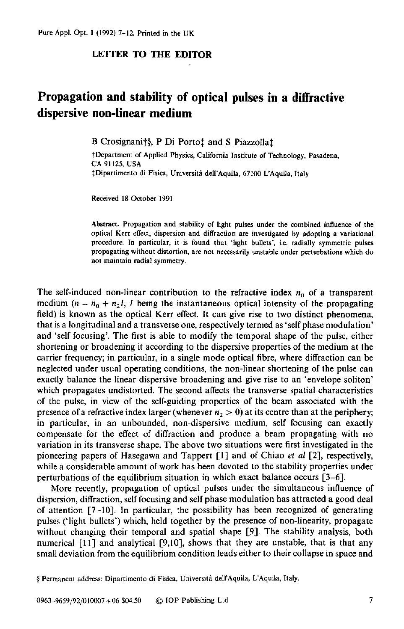## **LETTER TO THE EDITOR**

## **Propagation and stability of optical pulses in a diffractive dispersive non-linear medium**

B Crosignanit§, P Di Portot and S Piazzollat

**tDeparlment of Applied Physics, California Institute of Technology, Pasadena, CA 91125. USA fDipartimento di Fisica, Universiti dell'Aquila, 67100 L'Aquila, Italy** 

**Received** 18 **Oetokr 1991** 

**Abstract. Propagation and stability of light pulses under the combined influence of the optical Kerr ellect, dispersion and diffraction are investigated by adopting a variational**  procedure. In particular, it is found that 'light bullets', i.e. radially symmetric pulses **propagating without distortion, are** not **necessarily unstable under perturbations which do not maintain radial symmetry.** 

The self-induced non-linear contribution to the refractive index  $n_0$  of a transparent medium  $(n = n_0 + n_2)$ , I being the instantaneous optical intensity of the propagating field) is known as the optical **Kerr** effect. It can give **rise** to two distinct phenomena, that is a longitudinal and a transverse one, respectively termed as 'self phase modulation' and 'self focusing'. The first is able to modify the temporal shape of the pulse, either shortening **or** broadening it according to the dispersive properties of the medium at the carrier frequency; in particular, in a single mode optical fibre, where diffraction can be neglected under usual operating conditions, the non-linear shortening of the **pulse** can exactly balance the linear dispersive broadening and give rise to an 'envelope soliton' which propagates undistorted. The second affects the transverse spatial characteristics of the pulse, in view of the self-guiding properties of the beam associated with the presence of a refractive index larger (whenever  $n<sub>2</sub> > 0$ ) at its centre than at the periphery; in particular, in an unbounded, non-dispersive medium, self focusing can exactly compensate for the effect of diffraction and produce a beam propagating with no variation in its transverse shape. The above two situations were first investigated in the pioneering papers of Hasegawa and Tappert [I] and of Chiao *et al* **[2],** respectively, while a considerable amount of work has been devoted to the stability properties under perturbations of the equilibrium situation in which exact balance occurs [3-61.

More recently, propagation of optical **pulses** under the simultaneous influence of dispersion, diffraction, self focusing and self phase modulation has attracted a good deal of attention  $[7-10]$ . In particular, the possibility has been recognized of generating pulses ('light bullets') which, held together by the presence of non-linearity, propagate without changing their temporal and spatial shape [9]. The stability analysis, both numerical  $\lceil 11 \rceil$  and analytical  $\lceil 9, 10 \rceil$ , shows that they are unstable, that is that any small deviation from the equilibrium condition leads either to their collapse in space and

*<sup>S</sup>***Permanent address: Dipartimento di Fisica, Universiti dell'Aquila, L'Aquila, Italy.**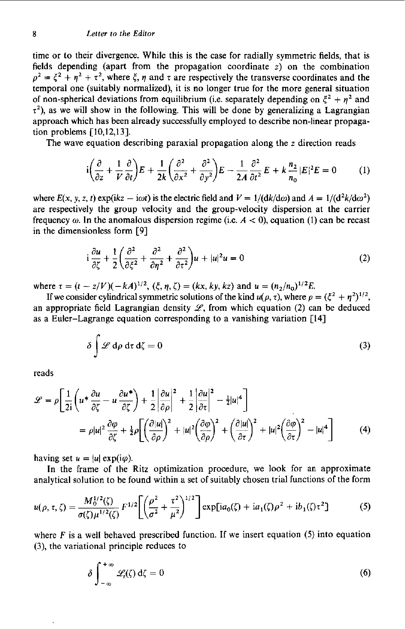time or to their divergence. While this is the case for radially symmetric fields, that is fields depending (apart from the propagation coordinate z) on the combination  $\rho^2 = \xi^2 + \eta^2 + \tau^2$ , where  $\xi$ ,  $\eta$  and  $\tau$  are respectively the transverse coordinates and the temporal one (suitably normalized), it is no longer true for the more general situation of non-spherical deviations from equilibrium (i.e. separately depending on  $\xi^2 + \eta^2$  and  $\tau^2$ ), as we will show in the following. This will be done by generalizing a Lagrangian approach which has been already successfully employed to describe non-linear propagation problems **[10,12,13].** 

The wave equation describing paraxial propagation along the z direction reads

$$
i\left(\frac{\partial}{\partial z} + \frac{1}{V}\frac{\partial}{\partial t}\right)E + \frac{1}{2k}\left(\frac{\partial^2}{\partial x^2} + \frac{\partial^2}{\partial y^2}\right)E - \frac{1}{2A}\frac{\partial^2}{\partial t^2}E + k\frac{n_2}{n_0}|E|^2E = 0\tag{1}
$$

where  $E(x, y, z, t)$  exp(ikz  $-i\omega t$ ) is the electric field and  $V = 1/(dk/d\omega)$  and  $A = 1/(d^2k/d\omega^2)$ are respectively the group velocity and the group-velocity dispersion at the carrier frequency  $\omega$ . In the anomalous dispersion regime (i.e.  $A < 0$ ), equation (1) can be recast in the dimensionless form **[9]** 

$$
i\frac{\partial u}{\partial \zeta} + \frac{1}{2} \left( \frac{\partial^2}{\partial \xi^2} + \frac{\partial^2}{\partial \eta^2} + \frac{\partial^2}{\partial \tau^2} \right) u + |u|^2 u = 0
$$
 (2)

where  $\tau = (t - z/V)(-kA)^{1/2}$ ,  $(\xi, \eta, \zeta) = (kx, ky, kz)$  and  $u = (n_2/n_0)^{1/2}E$ .

If we consider cylindrical symmetric solutions of the kind  $u(\rho, \tau)$ , where  $\rho = (\xi^2 + \eta^2)^{1/2}$ , an appropriate field Lagrangian density  $\mathcal{L}$ , from which equation (2) can be deduced as a Euler-Lagrange equation corresponding to a vanishing variation **[I41** 

$$
\delta \int \mathcal{L} d\rho \, d\tau \, d\zeta = 0 \tag{3}
$$

reads

$$
\mathcal{L} = \rho \left[ \frac{1}{2i} \left( u^* \frac{\partial u}{\partial \zeta} - u \frac{\partial u^*}{\partial \zeta} \right) + \frac{1}{2} \left| \frac{\partial u}{\partial \rho} \right|^2 + \frac{1}{2} \left| \frac{\partial u}{\partial \tau} \right|^2 - \frac{1}{2} |u|^4 \right]
$$
  
=  $\rho |u|^2 \frac{\partial \varphi}{\partial \zeta} + \frac{1}{2} \rho \left[ \left( \frac{\partial |u|}{\partial \rho} \right)^2 + |u|^2 \left( \frac{\partial \varphi}{\partial \rho} \right)^2 + \left( \frac{\partial |u|}{\partial \tau} \right)^2 + |u|^2 \left( \frac{\partial \varphi}{\partial \tau} \right)^2 - |u|^4 \right]$  (4)

having set  $u = |u| \exp(i\varphi)$ .

In the frame of the Ritz optimization procedure, we look for an approximate analytical solution to be found within a set of suitably chosen trial functions of the form

$$
u(\rho, \tau, \zeta) = \frac{M_0^{1/2}(\zeta)}{\sigma(\zeta)\mu^{1/2}(\zeta)} F^{1/2} \left[ \left( \frac{\rho^2}{\sigma^2} + \frac{\tau^2}{\mu^2} \right)^{1/2} \right] \exp[ia_0(\zeta) + ia_1(\zeta)\rho^2 + ib_1(\zeta)\tau^2] \tag{5}
$$

where F is a well behaved prescribed function. If we insert equation *(5)* into equation **(3),** the variational principle reduces to

$$
\delta \int_{-\infty}^{+\infty} \mathcal{L}_r(\zeta) d\zeta = 0 \tag{6}
$$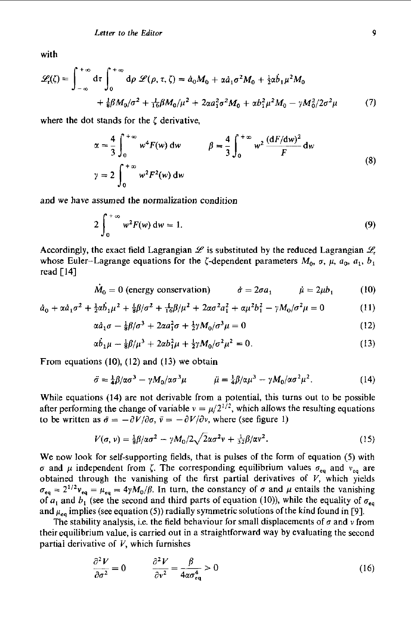with

$$
\mathcal{L}_{t}(\zeta) = \int_{-\infty}^{+\infty} d\tau \int_{0}^{+\infty} d\rho \ \mathcal{L}(\rho, \tau, \zeta) = \dot{a}_{0} M_{0} + \alpha \dot{a}_{1} \sigma^{2} M_{0} + \frac{1}{2} \alpha \dot{b}_{1} \mu^{2} M_{0}
$$

$$
+ \frac{1}{8} \beta M_{0} / \sigma^{2} + \frac{1}{16} \beta M_{0} / \mu^{2} + 2 \alpha a_{1}^{2} \sigma^{2} M_{0} + \alpha \dot{b}_{1}^{2} \mu^{2} M_{0} - \gamma M_{0}^{2} / 2 \sigma^{2} \mu \tag{7}
$$

where the dot stands for the  $\zeta$  derivative,

$$
\alpha = \frac{4}{3} \int_0^{+\infty} w^4 F(w) dw \qquad \beta = \frac{4}{3} \int_0^{+\infty} w^2 \frac{(dF/dw)^2}{F} dw
$$
  

$$
\gamma = 2 \int_0^{+\infty} w^2 F^2(w) dw
$$
 (8)

and we have assumed the normalization condition

$$
2\int_0^{+\infty} w^2 F(w) dw = 1. \tag{9}
$$

Accordingly, the exact field Lagrangian  $\mathscr L$  is substituted by the reduced Lagrangian  $\mathscr L$ . whose Euler-Lagrange equations for the  $\zeta$ -dependent parameters  $M_0$ ,  $\sigma$ ,  $\mu$ ,  $a_0$ ,  $a_1$ ,  $b_1$ read [14]

$$
\dot{M}_0 = 0 \text{ (energy conservation)} \qquad \dot{\sigma} = 2\sigma a_1 \qquad \dot{\mu} = 2\mu b_1 \qquad (10)
$$

$$
\dot{a}_0 + \alpha \dot{a}_1 \sigma^2 + \frac{1}{2} \alpha \dot{b}_1 \mu^2 + \frac{1}{8} \beta / \sigma^2 + \frac{1}{16} \beta / \mu^2 + 2 \alpha \sigma^2 a_1^2 + \alpha \mu^2 b_1^2 - \gamma M_0 / \sigma^2 \mu = 0 \tag{11}
$$

$$
\alpha \dot{a}_1 \sigma - \frac{1}{8} \beta / \sigma^3 + 2 \alpha a_1^2 \sigma + \frac{1}{2} \gamma M_0 / \sigma^3 \mu = 0 \tag{12}
$$

$$
\alpha b_1 \mu - \frac{1}{8} \beta / \mu^3 + 2 \alpha b_1^2 \mu + \frac{1}{2} \gamma M_0 / \sigma^2 \mu^2 = 0.
$$
 (13)

From equations  $(10)$ ,  $(12)$  and  $(13)$  we obtain

$$
\ddot{\sigma} = \frac{1}{4}\beta/\alpha\sigma^3 - \gamma M_0/\alpha\sigma^3\mu \qquad \ddot{\mu} = \frac{1}{4}\beta/\alpha\mu^3 - \gamma M_0/\alpha\sigma^2\mu^2. \qquad (14)
$$

While equations (14) are not derivable from a potential, this turns out to be possible after performing the change of variable  $v = \mu/2^{1/2}$ , which allows the resulting equations to be written as  $\ddot{\sigma} = -\partial V/\partial \sigma$ ,  $\ddot{v} = -\partial V/\partial v$ , where (see figure 1)

$$
V(\sigma, \nu) = \frac{1}{8}\beta/\alpha\sigma^2 - \gamma M_0/2\sqrt{2}\alpha\sigma^2\nu + \frac{1}{32}\beta/\alpha\nu^2.
$$
 (15)

We now look for self-supporting fields, that is pulses of the form of equation **(5)** with  $\sigma$  and  $\mu$  independent from  $\zeta$ . The corresponding equilibrium values  $\sigma_{eq}$  and  $v_{eq}$  are obtained through the vanishing of the first partial derivatives of *V,* which yields  $\sigma_{eq} = 2^{1/2}v_{eq} = \mu_{eq} = 4\gamma M_0/\beta$ . In turn, the constancy of  $\sigma$  and  $\mu$  entails the vanishing of  $a_1$  and  $b_1$  (see the second and third parts of equation (10)), while the equality of  $\sigma_{eq}$ and  $\mu_{eq}$  implies (see equation (5)) radially symmetric solutions of the kind found in [9].

The stability analysis, i.e. the field behaviour for small displacements of  $\sigma$  and  $\nu$  from their equilibrium value, is carried out in a straightforward way by evaluating the second partial derivative of  $V$ , which furnishes

$$
\frac{\partial^2 V}{\partial \sigma^2} = 0 \qquad \frac{\partial^2 V}{\partial v^2} = \frac{\beta}{4\alpha \sigma_{eq}^4} > 0 \tag{16}
$$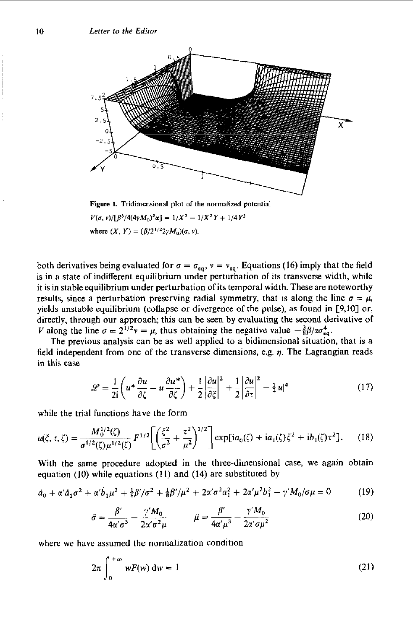

 $V(\sigma, \nu)/[\beta^3/4(4\gamma M_0)^2\alpha] = 1/X^2 - 1/X^2Y + 1/4Y^2$ where  $(X, Y) = (\beta/2^{1/2}2\gamma M_0)(\sigma, \nu)$ .

both derivatives being evaluated for  $\sigma = \sigma_{eq}$ ,  $v = v_{eq}$ . Equations (16) imply that the field is in a state of indifferent equilibrium under perturbation of its transverse width, while it is in stable equilibrium under perturbation of its temporal width. These are noteworthy results, since a perturbation preserving radial symmetry, that is along the line  $\sigma = \mu$ , yields unstable equilibrium (collapse or divergence of the pulse), as found in [9,lO] or, directly, through our approach; this can be seen by evaluating the second derivative of V along the line  $\sigma = 2^{1/2}v = \mu$ , thus obtaining the negative value  $-\frac{3}{8}B/\alpha\sigma_{\text{eq}}^4$ .

The previous analysis can be as well applied to a bidimensional situation, that is a field independent from one of the transverse dimensions, e.g.  $\eta$ . The Lagrangian reads in this case

$$
\mathcal{L} = \frac{1}{2i} \left( u^* \frac{\partial u}{\partial \zeta} - u \frac{\partial u^*}{\partial \zeta} \right) + \frac{1}{2} \left| \frac{\partial u}{\partial \zeta} \right|^2 + \frac{1}{2} \left| \frac{\partial u}{\partial \tau} \right|^2 - \frac{1}{2} |u|^4 \tag{17}
$$

while the trial functions have the form

$$
u(\xi,\tau,\zeta) = \frac{M_0^{1/2}(\zeta)}{\sigma^{1/2}(\zeta)\mu^{1/2}(\zeta)} F^{1/2} \left[ \left( \frac{\xi^2}{\sigma^2} + \frac{\tau^2}{\mu^2} \right)^{1/2} \right] \exp[ia_0(\zeta) + ia_1(\zeta)\xi^2 + ib_1(\zeta)\tau^2]. \tag{18}
$$

With the same procedure adopted in the three-dimensional case, we again obtain equation (10) while equations **(11)** and **(14)** are substituted by

$$
\dot{a}_0 + \alpha' \dot{a}_1 \sigma^2 + \alpha' \dot{b}_1 \mu^2 + \frac{1}{8} \beta' / \sigma^2 + \frac{1}{8} \beta' / \mu^2 + 2 \alpha' \sigma^2 a_1^2 + 2 \alpha' \mu^2 b_1^2 - \gamma' M_0 / \sigma \mu = 0 \tag{19}
$$

$$
\ddot{\sigma} = \frac{\beta'}{4\alpha'\sigma^3} - \frac{\gamma'M_0}{2\alpha'\sigma^2\mu} \qquad \qquad \ddot{\mu} = \frac{\beta'}{4\alpha'\mu^3} - \frac{\gamma'M_0}{2\alpha'\sigma\mu^2} \tag{20}
$$

where we have assumed the normalization condition

$$
2\pi \int_0^{+\infty} wF(w) dw = 1
$$
 (21)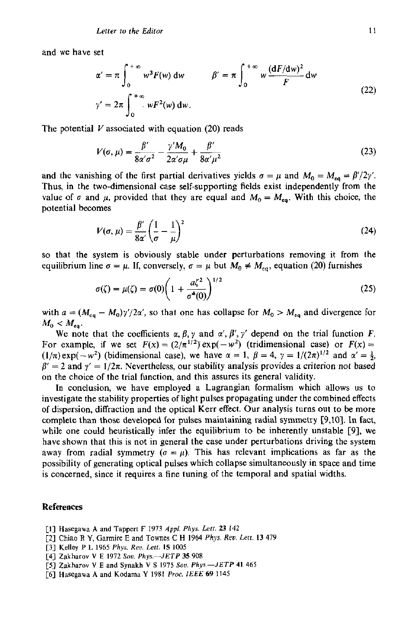and we have set

$$
\alpha' = \pi \int_0^{+\infty} w^3 F(w) dw \qquad \beta' = \pi \int_0^{+\infty} w \frac{(dF/dw)^2}{F} dw
$$
  

$$
\gamma' = 2\pi \int_0^{+\infty} wF^2(w) dw.
$$
 (22)

The potential *V* associated with equation *(20)* reads

$$
\gamma' = 2\pi \int_0^{+\infty} wF^2(w) dw.
$$
  
\nV associated with equation (20) reads  
\n
$$
V(\sigma, \mu) = \frac{\beta'}{8\alpha'\sigma^2} - \frac{\gamma' M_0}{2\alpha'\sigma\mu} + \frac{\beta'}{8\alpha'\mu^2}
$$
\n(23)

and the vanishing of the first partial derivatives yields  $\sigma = \mu$  and  $M_0 = M_{eq} = \beta'/2\gamma'$ . Thus, in the two-dimensional case self-supporting fields exist independently from the value of  $\sigma$  and  $\mu$ , provided that they are equal and  $M_0 = M_{eq}$ . With this choice, the potential becomes

mes  

$$
V(\sigma, \mu) = \frac{\beta'}{8\alpha'} \left(\frac{1}{\sigma} - \frac{1}{\mu}\right)^2
$$
 (24)

**so** that the system is obviously stable under perturbations removing it from the equilibrium line  $\sigma = \mu$ . If, conversely,  $\sigma = \mu$  but  $M_0 \neq M_{eq}$ , equation (20) furnishes

$$
\sigma(\zeta) = \mu(\zeta) = \sigma(0) \bigg( 1 + \frac{a\zeta^2}{\sigma^4(0)} \bigg)^{1/2} \tag{25}
$$

with  $a = (M_{eq} - M_0)\gamma/2\alpha'$ , so that one has collapse for  $M_0 > M_{eq}$  and divergence for  $M_0 < M_{ea}$ .

We note that the coefficients  $\alpha$ ,  $\beta$ ,  $\gamma$  and  $\alpha'$ ,  $\beta'$ ,  $\gamma'$  depend on the trial function F. For example, if we set  $F(x) = (2/\pi^{1/2}) \exp(-w^2)$  (tridimensional case) or  $F(x) =$  $(1/\pi) \exp(-w^2)$  (bidimensional case), we have  $\alpha = 1$ ,  $\beta = 4$ ,  $\gamma = 1/(2\pi)^{1/2}$  and  $\alpha' = \frac{1}{2}$ ,  $\beta' = 2$  and  $\gamma' = 1/2\pi$ . Nevertheless, our stability analysis provides a criterion not based on the choice of the trial function, and this assures its general validity.

In conclusion, we have employed a Lagrangian formalism which allows **us** to investigate the stability properties of light pulses propagating under the combined effects of dispersion, diffraction and the optical Kerr effect. **Our** analysis turns out to be more complete than those developed for pulses maintaining radial symmetry [9,10]. In fact, while one could heuristically infer the equilibrium to be inherently unstable **[SI,** we have shown that this is not in general the case under perturbations driving the system away from radial symmetry  $(\sigma = \mu)$ . This has relevant implications as far as the possibility of generating optical pulses which collapse simultaneously in space and time is concerned, since it requires a fine tuning of the temporal and spatial widths.

## **References**

- **[I] Hasegawa A and Tapper1 F** 1973 *AppL Phys. Lerr.* **23 142**
- [?I Chi20 !? **Y. Glrmire E** rind **Ta.iacs c E** !?M **Phyl.** *nai. Lr!r.* **!3 479**
- **[3] Kelley P L 1965** *Phys. Re".* Lett. **IS 1005**
- **[4] Zakharov** V **E 1972 Sou.** *Phys.-JETP* **35 908**
- **[5] Zakharov V E and Synakh V** *S* **1975 Sou.** *Phys.-JETP* **41 465**
- **161 Hasegawa A and Kadamn** *Y* **1981** *Proc. IEEE 69* **1145**